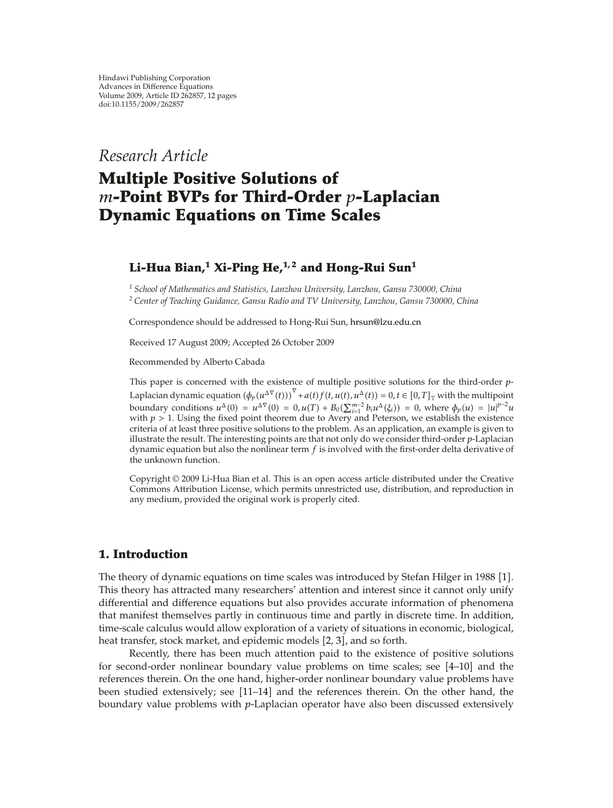*Research Article*

# **Multiple Positive Solutions of** *m***-Point BVPs for Third-Order** *p***-Laplacian Dynamic Equations on Time Scales**

# **Li-Hua Bian,<sup>1</sup> Xi-Ping He,1, 2 and Hong-Rui Sun<sup>1</sup>**

*<sup>1</sup> School of Mathematics and Statistics, Lanzhou University, Lanzhou, Gansu 730000, China <sup>2</sup> Center of Teaching Guidance, Gansu Radio and TV University, Lanzhou, Gansu 730000, China*

Correspondence should be addressed to Hong-Rui Sun, hrsun@lzu.edu.cn

Received 17 August 2009; Accepted 26 October 2009

Recommended by Alberto Cabada

This paper is concerned with the existence of multiple positive solutions for the third-order *p*-Laplacian dynamic equation  $(\phi_p(u^{\Delta \nabla}(t)))^{\nabla} + a(t) f(t, u(t), u^{\Delta}(t)) = 0, t \in [0, T]_{\nabla}$  with the multipoint boundary conditions  $u^{\Delta}(0) = u^{\Delta \nabla}(0) = 0$ ,  $u(T) + B_0(\sum_{i=1}^{m-2} b_i u^{\Delta}(\xi_i)) = 0$ , where  $\phi_p(u) = |u|^{p-2}u$ with  $p > 1$ . Using the fixed point theorem due to Avery and Peterson, we establish the existence criteria of at least three positive solutions to the problem. As an application, an example is given to illustrate the result. The interesting points are that not only do we consider third-order *p*-Laplacian dynamic equation but also the nonlinear term *f* is involved with the first-order delta derivative of the unknown function.

Copyright © 2009 Li-Hua Bian et al. This is an open access article distributed under the Creative Commons Attribution License, which permits unrestricted use, distribution, and reproduction in any medium, provided the original work is properly cited.

## **1. Introduction**

The theory of dynamic equations on time scales was introduced by Stefan Hilger in 1988 [1]. This theory has attracted many researchers' attention and interest since it cannot only unify differential and difference equations but also provides accurate information of phenomena that manifest themselves partly in continuous time and partly in discrete time. In addition, time-scale calculus would allow exploration of a variety of situations in economic, biological, heat transfer, stock market, and epidemic models [2, 3], and so forth.

Recently, there has been much attention paid to the existence of positive solutions for second-order nonlinear boundary value problems on time scales; see  $[4-10]$  and the references therein. On the one hand, higher-order nonlinear boundary value problems have been studied extensively; see [11–14] and the references therein. On the other hand, the boundary value problems with *p*-Laplacian operator have also been discussed extensively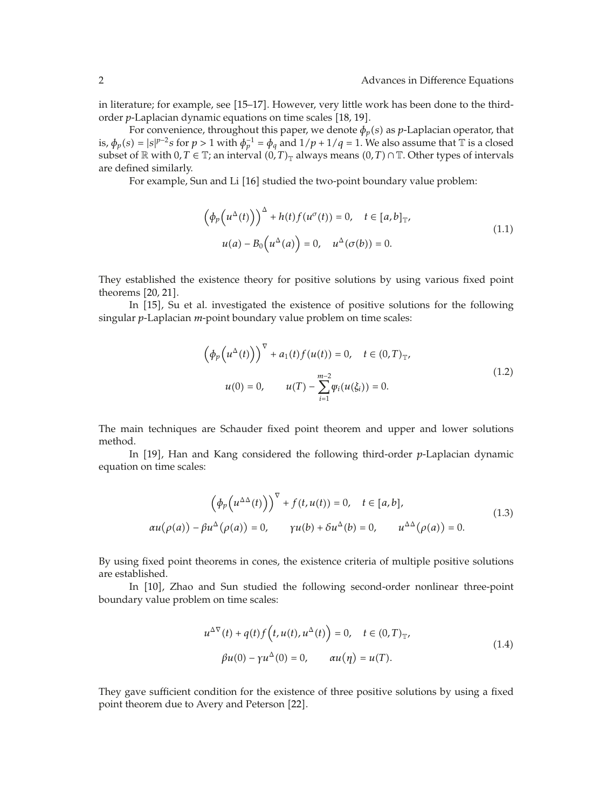in literature; for example, see [15–17]. However, very little work has been done to the thirdorder *p*-Laplacian dynamic equations on time scales [18, 19].

For convenience, throughout this paper, we denote  $\phi_p(s)$  as *p*-Laplacian operator, that is,  $\phi_p(s) = |s|^{p-2} s$  for  $p > 1$  with  $\phi_p^{-1} = \phi_q$  and  $1/p + 1/q = 1$ . We also assume that  $\bar{T}$  is a closed subset of  $\mathbb R$  with 0*, T*  $\in$  T; an interval  $(0, T)_T$  always means  $(0, T) \cap \mathbb T$ . Other types of intervals are defined similarly.

For example, Sun and Li [16] studied the two-point boundary value problem:

$$
\left(\phi_p\left(u^{\Delta}(t)\right)\right)^{\Delta} + h(t)f(u^{\sigma}(t)) = 0, \quad t \in [a, b]_{\mathbb{T}},
$$
  

$$
u(a) - B_0\left(u^{\Delta}(a)\right) = 0, \quad u^{\Delta}(\sigma(b)) = 0.
$$
 (1.1)

They established the existence theory for positive solutions by using various fixed point theorems  $[20, 21]$ .

In [15], Su et al. investigated the existence of positive solutions for the following singular *p*-Laplacian *m*-point boundary value problem on time scales:

$$
\left(\phi_p(u^{\Delta}(t))\right)^{\nabla} + a_1(t)f(u(t)) = 0, \quad t \in (0, T)_{\mathbb{T}},
$$
  

$$
u(0) = 0, \qquad u(T) - \sum_{i=1}^{m-2} \psi_i(u(\xi_i)) = 0.
$$
 (1.2)

The main techniques are Schauder fixed point theorem and upper and lower solutions method.

In [19], Han and Kang considered the following third-order *p*-Laplacian dynamic equation on time scales:

$$
\left(\phi_p\left(u^{\Delta\Delta}(t)\right)\right)^{\nabla} + f(t, u(t)) = 0, \quad t \in [a, b],
$$
\n
$$
\alpha u(\rho(a)) - \beta u^{\Delta}(\rho(a)) = 0, \qquad \gamma u(b) + \delta u^{\Delta}(b) = 0, \qquad u^{\Delta\Delta}(\rho(a)) = 0.
$$
\n(1.3)

By using fixed point theorems in cones, the existence criteria of multiple positive solutions are established.

In [10], Zhao and Sun studied the following second-order nonlinear three-point boundary value problem on time scales:

$$
u^{\Delta \nabla}(t) + q(t)f(t, u(t), u^{\Delta}(t)) = 0, \quad t \in (0, T)_{\mathbb{T}},
$$
  

$$
\beta u(0) - \gamma u^{\Delta}(0) = 0, \qquad \alpha u(\eta) = u(T).
$$
 (1.4)

They gave sufficient condition for the existence of three positive solutions by using a fixed point theorem due to Avery and Peterson [22].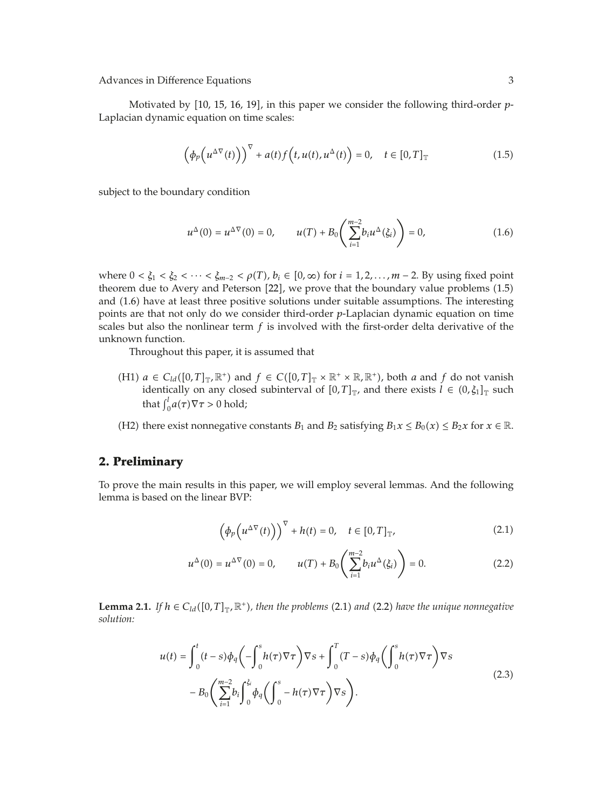Motivated by [10, 15, 16, 19], in this paper we consider the following third-order *p*-Laplacian dynamic equation on time scales:

$$
\left(\phi_p\left(u^{\Delta \nabla}(t)\right)\right)^{\nabla} + a(t)f\left(t, u(t), u^{\Delta}(t)\right) = 0, \quad t \in [0, T]_{\mathbb{T}}
$$
\n(1.5)

subject to the boundary condition

$$
u^{\Delta}(0) = u^{\Delta \nabla}(0) = 0, \qquad u(T) + B_0 \left( \sum_{i=1}^{m-2} b_i u^{\Delta}(\xi_i) \right) = 0,
$$
 (1.6)

where  $0 < \xi_1 < \xi_2 < \cdots < \xi_{m-2} < \rho(T)$ ,  $b_i \in [0, \infty)$  for  $i = 1, 2, \ldots, m-2$ . By using fixed point theorem due to Avery and Peterson  $[22]$ , we prove that the boundary value problems  $(1.5)$ and 1.6 have at least three positive solutions under suitable assumptions. The interesting points are that not only do we consider third-order *p*-Laplacian dynamic equation on time scales but also the nonlinear term *f* is involved with the first-order delta derivative of the unknown function.

Throughout this paper, it is assumed that

- (H1)  $a \in C_{ld}([0,T]_{\mathbb{T}}, \mathbb{R}^+)$  and  $f \in C([0,T]_{\mathbb{T}} \times \mathbb{R}^+ \times \mathbb{R}, \mathbb{R}^+)$ , both *a* and *f* do not vanish identically on any closed subinterval of  $[0, T]_{\mathbb{T}}$ , and there exists  $l \in (0, \xi_1]_{\mathbb{T}}$  such that  $\int_0^l a(\tau) \nabla \tau > 0$  hold;
- (H2) there exist nonnegative constants  $B_1$  and  $B_2$  satisfying  $B_1x \le B_0(x) \le B_2x$  for  $x \in \mathbb{R}$ .

## **2. Preliminary**

To prove the main results in this paper, we will employ several lemmas. And the following lemma is based on the linear BVP:

$$
\left(\phi_p\left(u^{\Delta \nabla}(t)\right)\right)^{\nabla} + h(t) = 0, \quad t \in [0, T]_{\mathbb{T}},\tag{2.1}
$$

$$
u^{\Delta}(0) = u^{\Delta \nabla}(0) = 0, \qquad u(T) + B_0 \left( \sum_{i=1}^{m-2} b_i u^{\Delta}(\xi_i) \right) = 0. \tag{2.2}
$$

**Lemma 2.1.** *If*  $h \in C_{ld}([0, T]_{T}$ <sup>*,* $\mathbb{R}^{+}$ </sup>*), then the problems* (2.1) *and* (2.2) *have the unique nonnegative solution:*

$$
u(t) = \int_0^t (t-s)\phi_q\left(-\int_0^s h(\tau)\nabla\tau\right)\nabla s + \int_0^T (T-s)\phi_q\left(\int_0^s h(\tau)\nabla\tau\right)\nabla s
$$
  

$$
-B_0\left(\sum_{i=1}^{m-2} b_i\int_0^{\xi_i} \phi_q\left(\int_0^s -h(\tau)\nabla\tau\right)\nabla s\right).
$$
 (2.3)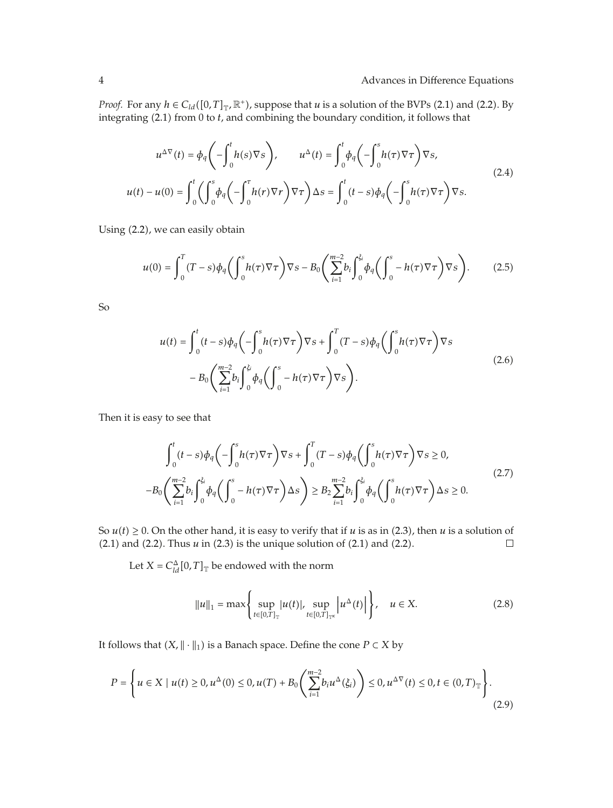*Proof.* For any  $h \in C_{ld}([0, T]_T, \mathbb{R}^+)$ , suppose that *u* is a solution of the BVPs (2.1) and (2.2). By integrating 2.1 from 0 to *t*, and combining the boundary condition, it follows that

$$
u^{\Delta \nabla}(t) = \phi_q \left( -\int_0^t h(s) \nabla s \right), \qquad u^{\Delta}(t) = \int_0^t \phi_q \left( -\int_0^s h(\tau) \nabla \tau \right) \nabla s,
$$
  

$$
u(t) - u(0) = \int_0^t \left( \int_0^s \phi_q \left( -\int_0^{\tau} h(\tau) \nabla \tau \right) \nabla \tau \right) \Delta s = \int_0^t (t - s) \phi_q \left( -\int_0^s h(\tau) \nabla \tau \right) \nabla s.
$$
 (2.4)

Using (2.2), we can easily obtain

$$
u(0) = \int_0^T (T - s) \phi_q \left( \int_0^s h(\tau) \nabla \tau \right) \nabla s - B_0 \left( \sum_{i=1}^{m-2} b_i \int_0^{\xi_i} \phi_q \left( \int_0^s - h(\tau) \nabla \tau \right) \nabla s \right). \tag{2.5}
$$

So

$$
u(t) = \int_0^t (t-s)\phi_q\left(-\int_0^s h(\tau)\nabla\tau\right)\nabla s + \int_0^T (T-s)\phi_q\left(\int_0^s h(\tau)\nabla\tau\right)\nabla s
$$
  

$$
-B_0\left(\sum_{i=1}^{m-2} b_i\int_0^{\xi_i} \phi_q\left(\int_0^s -h(\tau)\nabla\tau\right)\nabla s\right).
$$
 (2.6)

Then it is easy to see that

$$
\int_0^t (t-s)\phi_q\left(-\int_0^s h(\tau)\nabla\tau\right)\nabla s + \int_0^T (T-s)\phi_q\left(\int_0^s h(\tau)\nabla\tau\right)\nabla s \ge 0,
$$
\n
$$
-B_0\left(\sum_{i=1}^{m-2} b_i \int_0^{\xi_i} \phi_q\left(\int_0^s -h(\tau)\nabla\tau\right)\Delta s\right) \ge B_2 \sum_{i=1}^{m-2} b_i \int_0^{\xi_i} \phi_q\left(\int_0^s h(\tau)\nabla\tau\right)\Delta s \ge 0.
$$
\n(2.7)

So  $u(t) \ge 0$ . On the other hand, it is easy to verify that if *u* is as in (2.3), then *u* is a solution of (2.1) and (2.2).  $(2.1)$  and  $(2.2)$ . Thus  $u$  in  $(2.3)$  is the unique solution of  $(2.1)$  and  $(2.2)$ .

Let  $X = C_{ld}^{\Delta}[0,T]_{\mathbb{T}}$  be endowed with the norm

$$
||u||_1 = \max\left\{\sup_{t \in [0,T]_{\mathbb{T}}} |u(t)|, \sup_{t \in [0,T]_{\mathbb{T}^k}} \left| u^{\Delta}(t) \right| \right\}, \quad u \in X. \tag{2.8}
$$

It follows that  $(X, \|\cdot\|_1)$  is a Banach space. Define the cone  $P \subset X$  by

$$
P = \left\{ u \in X \mid u(t) \ge 0, u^{\Delta}(0) \le 0, u(T) + B_0\left(\sum_{i=1}^{m-2} b_i u^{\Delta}(\xi_i)\right) \le 0, u^{\Delta \nabla}(t) \le 0, t \in (0, T)_{\mathbb{T}} \right\}.
$$
\n(2.9)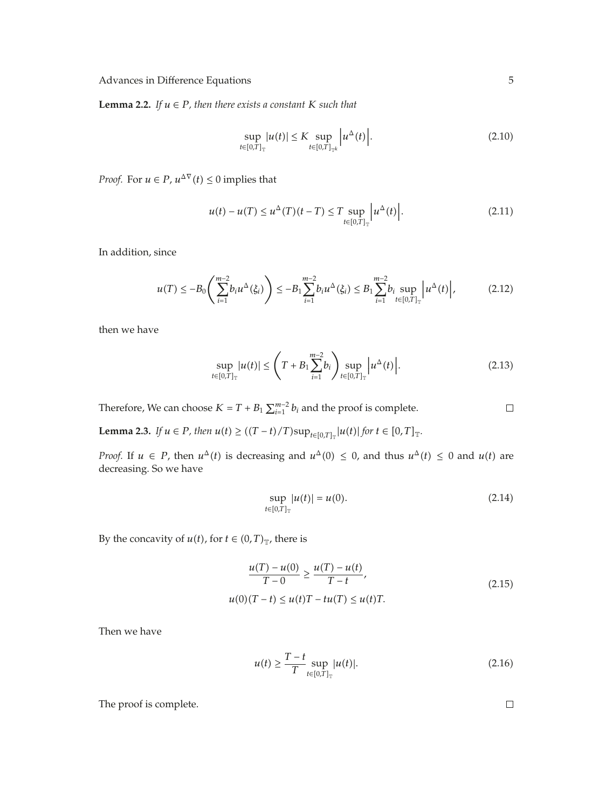**Lemma 2.2.** *If*  $u \in P$ *, then there exists a constant*  $K$  *such that* 

$$
\sup_{t \in [0,T]_{\mathbb{T}}} |u(t)| \le K \sup_{t \in [0,T]_{\mathbb{T}^k}} \left| u^{\Delta}(t) \right|.
$$
 (2.10)

*Proof.* For  $u \in P$ ,  $u^{\Delta \nabla}(t) \leq 0$  implies that

$$
u(t) - u(T) \le u^{\Delta}(T)(t - T) \le T \sup_{t \in [0,T]_T} \left| u^{\Delta}(t) \right|.
$$
 (2.11)

In addition, since

$$
u(T) \leq -B_0 \left( \sum_{i=1}^{m-2} b_i u^{\Delta}(\xi_i) \right) \leq -B_1 \sum_{i=1}^{m-2} b_i u^{\Delta}(\xi_i) \leq B_1 \sum_{i=1}^{m-2} b_i \sup_{t \in [0,T]_T} \left| u^{\Delta}(t) \right|, \tag{2.12}
$$

then we have

$$
\sup_{t \in [0,T]_{\mathbb{T}}} |u(t)| \leq \left( T + B_1 \sum_{i=1}^{m-2} b_i \right) \sup_{t \in [0,T]_{\mathbb{T}}} \left| u^{\Delta}(t) \right|.
$$
 (2.13)

Therefore, We can choose  $K = T + B_1 \sum_{i=1}^{m-2} b_i$  and the proof is complete.

**Lemma 2.3.** *If*  $u \in P$ *, then*  $u(t) \ge ((T - t)/T) \sup_{t \in [0,T]_T} |u(t)|$  for  $t \in [0,T]_T$ .

*Proof.* If  $u \in P$ , then  $u^{\Delta}(t)$  is decreasing and  $u^{\Delta}(0) \leq 0$ , and thus  $u^{\Delta}(t) \leq 0$  and  $u(t)$  are decreasing. So we have

$$
\sup_{t \in [0,T]_{\mathbb{T}}} |u(t)| = u(0). \tag{2.14}
$$

By the concavity of *u*(*t*), for *t*  $\in$   $(0, T)$ <sub>T</sub>, there is

$$
\frac{u(T) - u(0)}{T - 0} \ge \frac{u(T) - u(t)}{T - t},
$$
  
 
$$
u(0)(T - t) \le u(t)T - tu(T) \le u(t)T.
$$
 (2.15)

Then we have

$$
u(t) \ge \frac{T - t}{T} \sup_{t \in [0, T]_T} |u(t)|. \tag{2.16}
$$

The proof is complete.

 $\Box$ 

 $\Box$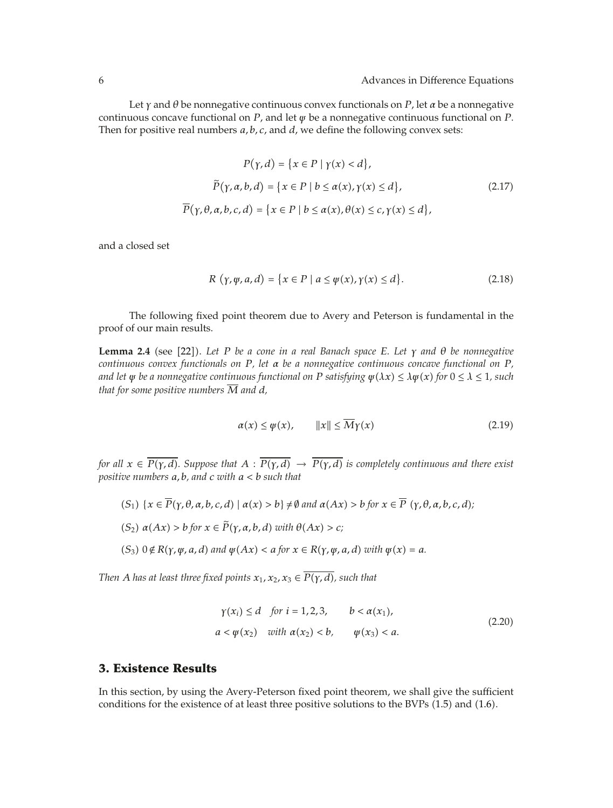Let *γ* and *θ* be nonnegative continuous convex functionals on *P*, let *α* be a nonnegative continuous concave functional on *P*, and let *ψ* be a nonnegative continuous functional on *P*. Then for positive real numbers *a, b, c,* and *d*, we define the following convex sets:

$$
P(\gamma, d) = \{x \in P \mid \gamma(x) < d\},
$$
\n
$$
\tilde{P}(\gamma, \alpha, b, d) = \{x \in P \mid b \le \alpha(x), \gamma(x) \le d\},
$$
\n
$$
\overline{P}(\gamma, \theta, \alpha, b, c, d) = \{x \in P \mid b \le \alpha(x), \theta(x) \le c, \gamma(x) \le d\},
$$
\n
$$
(2.17)
$$

and a closed set

$$
R(\gamma, \psi, a, d) = \{x \in P \mid a \le \psi(x), \gamma(x) \le d\}.
$$
\n(2.18)

The following fixed point theorem due to Avery and Peterson is fundamental in the proof of our main results.

**Lemma 2.4** (see [22]). Let P be a cone in a real Banach space E. Let  $\gamma$  and  $\theta$  be nonnegative *continuous convex functionals on P, let α be a nonnegative continuous concave functional on P, and let*  $\psi$  *be a nonnegative continuous functional on P satisfying*  $\psi(\lambda x) \leq \lambda \psi(x)$  *for*  $0 \leq \lambda \leq 1$ *, such that for some positive numbers*  $\overline{M}$  *and*  $d$ *,* 

$$
\alpha(x) \le \psi(x), \qquad ||x|| \le \overline{M}\gamma(x) \tag{2.19}
$$

*for all*  $x \in \overline{P(\gamma, d)}$ . Suppose that  $A : \overline{P(\gamma, d)} \to \overline{P(\gamma, d)}$  is completely continuous and there exist *positive numbers a, b, and c with a<b such that*

- $(S_1) \{x \in \overline{P}(\gamma, \theta, \alpha, b, c, d) \mid \alpha(x) > b\} \neq \emptyset$  and  $\alpha(Ax) > b$  for  $x \in \overline{P}(\gamma, \theta, \alpha, b, c, d)$ ;
- $(S_2)$   $\alpha(Ax) > b$  *for*  $x \in \widetilde{P}(\gamma, \alpha, b, d)$  *with*  $\theta(Ax) > c$ *;*
- $(S_3)$   $0 \notin R(\gamma, \psi, a, d)$  and  $\psi(Ax) < a$  for  $x \in R(\gamma, \psi, a, d)$  with  $\psi(x) = a$ .

*Then A has at least three fixed points*  $x_1, x_2, x_3 \in \overline{P(\gamma, d)}$ *, such that* 

$$
\gamma(x_i) \le d \quad \text{for } i = 1, 2, 3, \qquad b < \alpha(x_1),
$$
\n
$$
a < \psi(x_2) \quad \text{with } \alpha(x_2) < b, \qquad \psi(x_3) < a. \tag{2.20}
$$

#### **3. Existence Results**

In this section, by using the Avery-Peterson fixed point theorem, we shall give the sufficient conditions for the existence of at least three positive solutions to the BVPs  $(1.5)$  and  $(1.6)$ .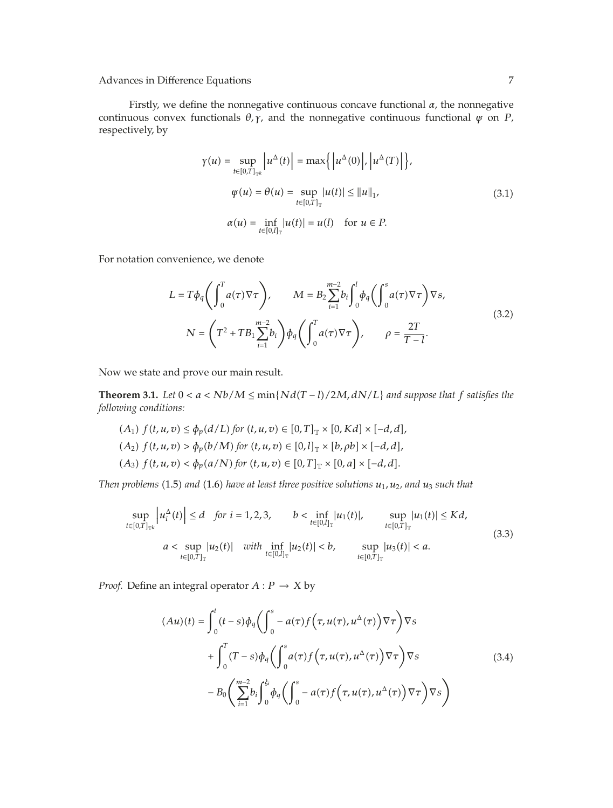Firstly, we define the nonnegative continuous concave functional *α*, the nonnegative continuous convex functionals  $\theta$ ,  $\gamma$ , and the nonnegative continuous functional  $\psi$  on  $P$ , respectively, by

$$
\gamma(u) = \sup_{t \in [0,T]_{\mathbb{T}^k}} \left| u^{\Delta}(t) \right| = \max \{ \left| u^{\Delta}(0) \right|, \left| u^{\Delta}(T) \right| \},
$$
\n
$$
\psi(u) = \theta(u) = \sup_{t \in [0,T]_{\mathbb{T}}} |u(t)| \le ||u||_1,
$$
\n
$$
\alpha(u) = \inf_{t \in [0,I]_{\mathbb{T}}} |u(t)| = u(l) \quad \text{for } u \in P.
$$
\n(3.1)

For notation convenience, we denote

$$
L = T\phi_q \left( \int_0^T a(\tau) \nabla \tau \right), \qquad M = B_2 \sum_{i=1}^{m-2} b_i \int_0^l \phi_q \left( \int_0^s a(\tau) \nabla \tau \right) \nabla s,
$$
  

$$
N = \left( T^2 + T B_1 \sum_{i=1}^{m-2} b_i \right) \phi_q \left( \int_0^T a(\tau) \nabla \tau \right), \qquad \rho = \frac{2T}{T - l}.
$$
 (3.2)

Now we state and prove our main result.

**Theorem 3.1.** *Let*  $0 < a < Nb/M \le \min\{Nd(T - l)/2M, dN/L\}$  *and suppose that*  $f$  *satisfies the following conditions:*

$$
(A_1) f(t, u, v) \le \phi_p(d/L) \text{ for } (t, u, v) \in [0, T]_{\mathbb{T}} \times [0, Kd] \times [-d, d],
$$
  
\n
$$
(A_2) f(t, u, v) > \phi_p(b/M) \text{ for } (t, u, v) \in [0, I]_{\mathbb{T}} \times [b, \rho b] \times [-d, d],
$$
  
\n
$$
(A_3) f(t, u, v) < \phi_p(a/N) \text{ for } (t, u, v) \in [0, T]_{\mathbb{T}} \times [0, a] \times [-d, d].
$$

*Then problems* (1.5) *and* (1.6) *have at least three positive solutions*  $u_1$ ,  $u_2$ , *and*  $u_3$  *such that* 

$$
\sup_{t \in [0,T]_{\mathbb{T}^k}} \left| u_i^{\Delta}(t) \right| \le d \quad \text{for } i = 1, 2, 3, \qquad b < \inf_{t \in [0,I]_{\mathbb{T}}} |u_1(t)|, \qquad \sup_{t \in [0,T]_{\mathbb{T}}} |u_1(t)| \le Kd,
$$
\n
$$
a < \sup_{t \in [0,T]_{\mathbb{T}}} |u_2(t)| \quad \text{with } \inf_{t \in [0,I]_{\mathbb{T}}} |u_2(t)| < b, \qquad \sup_{t \in [0,T]_{\mathbb{T}}} |u_3(t)| < a. \tag{3.3}
$$

*Proof.* Define an integral operator  $A: P \rightarrow X$  by

$$
(Au)(t) = \int_0^t (t-s)\phi_q\left(\int_0^s -a(\tau)f(\tau, u(\tau), u^{\Delta}(\tau))\nabla\tau\right)\nabla s
$$
  
+ 
$$
\int_0^T (T-s)\phi_q\left(\int_0^s a(\tau)f(\tau, u(\tau), u^{\Delta}(\tau))\nabla\tau\right)\nabla s
$$
  
- 
$$
B_0\left(\sum_{i=1}^{m-2} b_i \int_0^{\xi_i} \phi_q\left(\int_0^s -a(\tau)f(\tau, u(\tau), u^{\Delta}(\tau))\nabla\tau\right)\nabla s\right)
$$
 (3.4)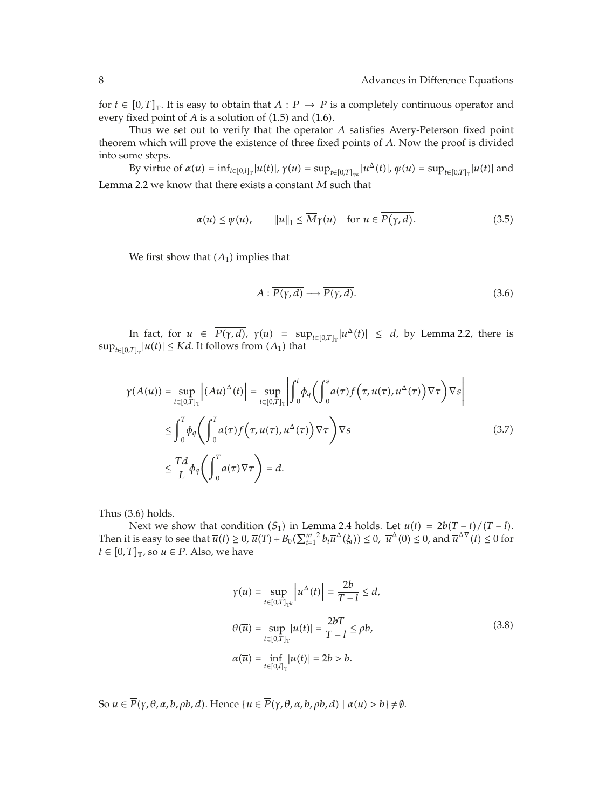for  $t \in [0, T]_{\mathbb{T}}$ . It is easy to obtain that  $A : P \to P$  is a completely continuous operator and every fixed point of *A* is a solution of (1.5) and (1.6).

Thus we set out to verify that the operator *A* satisfies Avery-Peterson fixed point theorem which will prove the existence of three fixed points of *A*. Now the proof is divided into some steps.

By virtue of  $\alpha(u) = \inf_{t \in [0,l]_T} |u(t)|$ ,  $\gamma(u) = \sup_{t \in [0,T]_{T^k}} |u^{\Delta}(t)|$ ,  $\psi(u) = \sup_{t \in [0,T]_T} |u(t)|$  and Lemma 2.2 we know that there exists a constant  $\overline{M}$  such that

$$
\alpha(u) \le \psi(u), \qquad \|u\|_1 \le \overline{M}\gamma(u) \quad \text{for } u \in \overline{P(\gamma, d)}.
$$

We first show that  $(A_1)$  implies that

$$
A: \overline{P(\gamma, d)} \longrightarrow \overline{P(\gamma, d)}.
$$
\n(3.6)

In fact, for  $u \in \overline{P(\gamma, d)}$ ,  $\gamma(u) = \sup_{t \in [0,T]_{\mathbb{T}}} |u^{\Delta}(t)| \leq d$ , by Lemma 2.2, there is  $\sup_{t \in [0,T]_T} |u(t)| \leq Kd$ . It follows from  $(A_1)$  that

$$
\gamma(A(u)) = \sup_{t \in [0,T]_{\mathbb{T}}} |(Au)^{\Delta}(t)| = \sup_{t \in [0,T]_{\mathbb{T}}} \left| \int_{0}^{t} \phi_{q} \left( \int_{0}^{s} a(\tau) f(\tau, u(\tau), u^{\Delta}(\tau)) \nabla \tau \right) \nabla s \right|
$$
  

$$
\leq \int_{0}^{T} \phi_{q} \left( \int_{0}^{T} a(\tau) f(\tau, u(\tau), u^{\Delta}(\tau)) \nabla \tau \right) \nabla s
$$
  

$$
\leq \frac{Td}{L} \phi_{q} \left( \int_{0}^{T} a(\tau) \nabla \tau \right) = d.
$$
 (3.7)

Thus  $(3.6)$  holds.

Next we show that condition  $(S_1)$  in Lemma 2.4 holds. Let  $\overline{u}(t) = 2b(T-t)/(T-t)$ . Then it is easy to see that  $\overline{u}(t) \ge 0$ ,  $\overline{u}(T) + B_0(\sum_{i=1}^{m-2} b_i \overline{u}^{\Delta}(\xi_i)) \le 0$ ,  $\overline{u}^{\Delta}(0) \le 0$ , and  $\overline{u}^{\Delta \nabla}(t) \le 0$  for  $t \in [0, T]_{\mathbb{T}}$ , so  $\overline{u} \in P$ . Also, we have

$$
\gamma(\overline{u}) = \sup_{t \in [0,T]_{\mathbb{T}^k}} |u^{\Delta}(t)| = \frac{2b}{T - l} \le d,
$$
  
\n
$$
\theta(\overline{u}) = \sup_{t \in [0,T]_{\mathbb{T}}} |u(t)| = \frac{2bT}{T - l} \le \rho b,
$$
  
\n
$$
\alpha(\overline{u}) = \inf_{t \in [0,l]_{\mathbb{T}}} |u(t)| = 2b > b.
$$
\n(3.8)

So  $\overline{u} \in \overline{P}(\gamma, \theta, \alpha, b, \rho b, d)$ . Hence  $\{u \in \overline{P}(\gamma, \theta, \alpha, b, \rho b, d) \mid \alpha(u) > b\} \neq \emptyset$ .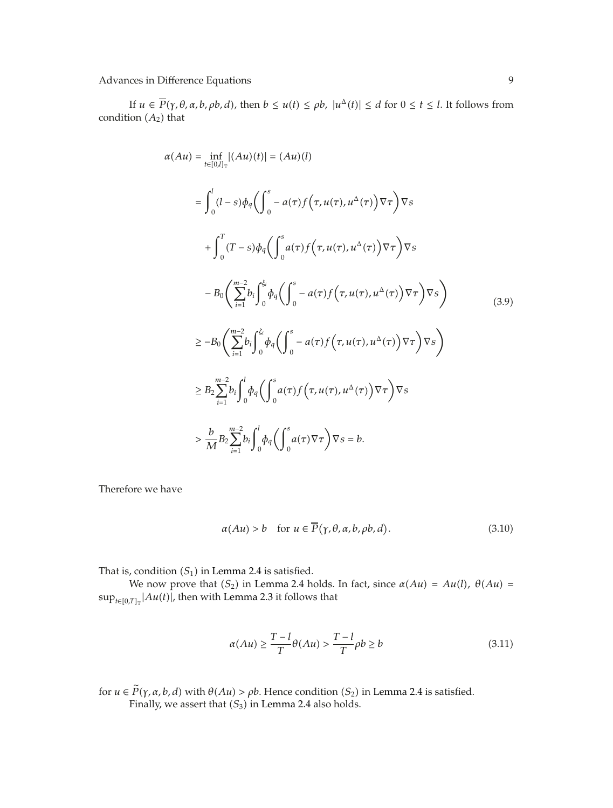If  $u \in \overline{P}(\gamma, \theta, \alpha, b, \rho b, d)$ , then  $b \le u(t) \le \rho b$ ,  $|u^{\Delta}(t)| \le d$  for  $0 \le t \le l$ . It follows from condition  $(A_2)$  that

$$
\alpha(Au) = \inf_{t \in [0,I]_{\mathbb{T}}} |(Au)(t)| = (Au)(l)
$$
  
\n
$$
= \int_{0}^{l} (l-s)\phi_{q} \left( \int_{0}^{s} -a(\tau)f(\tau, u(\tau), u^{\Delta}(\tau)) \nabla \tau \right) \nabla s
$$
  
\n
$$
+ \int_{0}^{T} (T-s)\phi_{q} \left( \int_{0}^{s} a(\tau)f(\tau, u(\tau), u^{\Delta}(\tau)) \nabla \tau \right) \nabla s
$$
  
\n
$$
- B_{0} \left( \sum_{i=1}^{m-2} b_{i} \int_{0}^{\xi_{i}} \phi_{q} \left( \int_{0}^{s} -a(\tau)f(\tau, u(\tau), u^{\Delta}(\tau)) \nabla \tau \right) \nabla s \right)
$$
  
\n
$$
\geq -B_{0} \left( \sum_{i=1}^{m-2} b_{i} \int_{0}^{\xi_{i}} \phi_{q} \left( \int_{0}^{s} -a(\tau)f(\tau, u(\tau), u^{\Delta}(\tau)) \nabla \tau \right) \nabla s \right)
$$
  
\n
$$
\geq B_{2} \sum_{i=1}^{m-2} b_{i} \int_{0}^{l} \phi_{q} \left( \int_{0}^{s} a(\tau)f(\tau, u(\tau), u^{\Delta}(\tau)) \nabla \tau \right) \nabla s
$$
  
\n
$$
> \frac{b}{M} B_{2} \sum_{i=1}^{m-2} b_{i} \int_{0}^{l} \phi_{q} \left( \int_{0}^{s} a(\tau) \nabla \tau \right) \nabla s = b.
$$

Therefore we have

$$
\alpha(Au) > b \quad \text{for } u \in \overline{P}(\gamma, \theta, \alpha, b, \rho b, d). \tag{3.10}
$$

That is, condition  $(S_1)$  in Lemma 2.4 is satisfied.

We now prove that  $(S_2)$  in Lemma 2.4 holds. In fact, since  $\alpha(Au) = Au(l)$ ,  $\theta(Au) =$  $\sup_{t\in[0,T]_{\mathbb{T}}}$   $\left|Au(t)\right|$ , then with Lemma 2.3 it follows that

$$
\alpha(Au) \ge \frac{T - l}{T} \theta(Au) > \frac{T - l}{T} \rho b \ge b \tag{3.11}
$$

for  $u \in \tilde{P}(\gamma, \alpha, b, d)$  with  $\theta(Au) > \rho b$ . Hence condition  $(S_2)$  in Lemma 2.4 is satisfied. Finally, we assert that  $(S_3)$  in Lemma 2.4 also holds.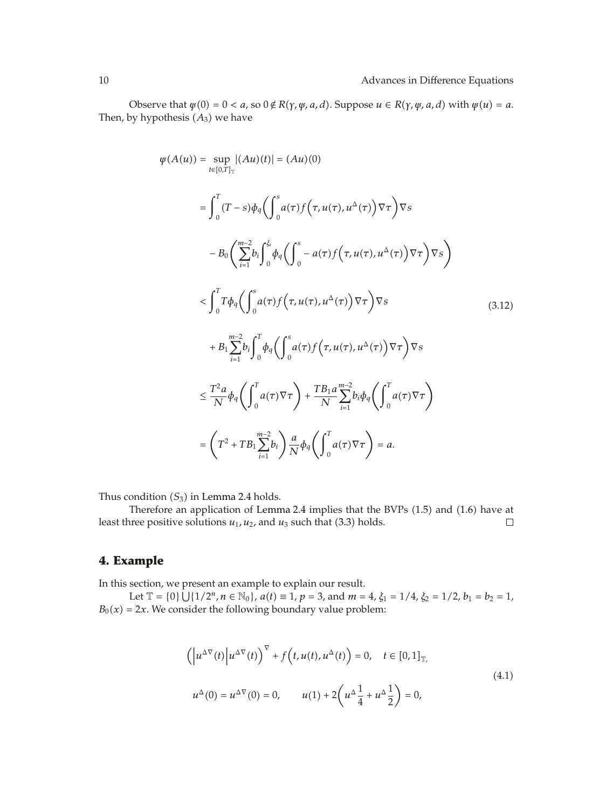Observe that  $\psi(0) = 0 < a$ , so  $0 \notin R(\gamma, \psi, a, d)$ . Suppose  $u \in R(\gamma, \psi, a, d)$  with  $\psi(u) = a$ . Then, by hypothesis  $(A_3)$  we have

$$
\varphi(A(u)) = \sup_{t \in [0,T]_{\mathbb{T}}} |(Au)(t)| = (Au)(0)
$$
\n
$$
= \int_{0}^{T} (T - s) \phi_{q} \left( \int_{0}^{s} a(\tau) f(\tau, u(\tau), u^{\Delta}(\tau)) \nabla \tau \right) \nabla s
$$
\n
$$
- B_{0} \left( \sum_{i=1}^{m-2} b_{i} \int_{0}^{\xi_{i}} \phi_{q} \left( \int_{0}^{s} - a(\tau) f(\tau, u(\tau), u^{\Delta}(\tau)) \nabla \tau \right) \nabla s \right)
$$
\n
$$
< \int_{0}^{T} T \phi_{q} \left( \int_{0}^{s} a(\tau) f(\tau, u(\tau), u^{\Delta}(\tau)) \nabla \tau \right) \nabla s
$$
\n
$$
+ B_{1} \sum_{i=1}^{m-2} b_{i} \int_{0}^{T} \phi_{q} \left( \int_{0}^{s} a(\tau) f(\tau, u(\tau), u^{\Delta}(\tau)) \nabla \tau \right) \nabla s
$$
\n
$$
\leq \frac{T^{2} a}{N} \phi_{q} \left( \int_{0}^{T} a(\tau) \nabla \tau \right) + \frac{T B_{1} a}{N} \sum_{i=1}^{m-2} b_{i} \phi_{q} \left( \int_{0}^{T} a(\tau) \nabla \tau \right)
$$
\n
$$
= \left( T^{2} + T B_{1} \sum_{i=1}^{m-2} b_{i} \right) \frac{a}{N} \phi_{q} \left( \int_{0}^{T} a(\tau) \nabla \tau \right) = a.
$$
\n(3.12)

Thus condition  $(S_3)$  in Lemma 2.4 holds.

Therefore an application of Lemma 2.4 implies that the BVPs (1.5) and (1.6) have at least three positive solutions  $u_1$ ,  $u_2$ , and  $u_3$  such that (3.3) holds.  $\Box$ 

# **4. Example**

In this section, we present an example to explain our result.

Let  $\mathbb{T} = \{0\} \cup \{1/2^n, n \in \mathbb{N}_0\}$ ,  $a(t) \equiv 1$ ,  $p = 3$ , and  $m = 4$ ,  $\xi_1 = 1/4$ ,  $\xi_2 = 1/2$ ,  $b_1 = b_2 = 1$ ,  $B_0(x) = 2x$ . We consider the following boundary value problem:

$$
\left(\left|u^{\Delta\nabla}(t)\right|u^{\Delta\nabla}(t)\right)^{\nabla} + f\left(t, u(t), u^{\Delta}(t)\right) = 0, \quad t \in [0, 1]_{\mathbb{T}}.
$$
\n
$$
u^{\Delta}(0) = u^{\Delta\nabla}(0) = 0, \qquad u(1) + 2\left(u^{\Delta}\frac{1}{4} + u^{\Delta}\frac{1}{2}\right) = 0,
$$
\n
$$
(4.1)
$$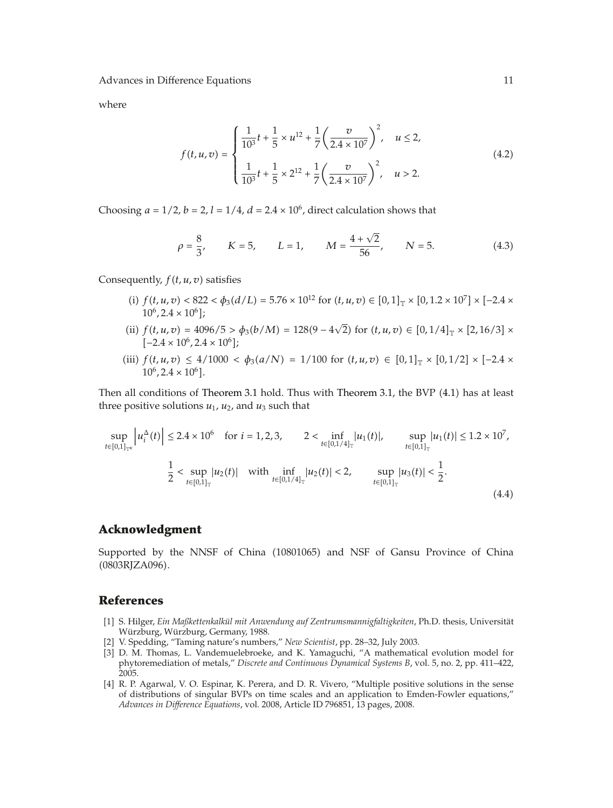where

$$
f(t, u, v) = \begin{cases} \frac{1}{10^3}t + \frac{1}{5} \times u^{12} + \frac{1}{7} \left(\frac{v}{2.4 \times 10^7}\right)^2, & u \le 2, \\ \frac{1}{10^3}t + \frac{1}{5} \times 2^{12} + \frac{1}{7} \left(\frac{v}{2.4 \times 10^7}\right)^2, & u > 2. \end{cases}
$$
(4.2)

Choosing  $a = 1/2$ ,  $b = 2$ ,  $l = 1/4$ ,  $d = 2.4 \times 10^6$ , direct calculation shows that

$$
\rho = \frac{8}{3}, \qquad K = 5, \qquad L = 1, \qquad M = \frac{4 + \sqrt{2}}{56}, \qquad N = 5. \tag{4.3}
$$

Consequently,  $f(t, u, v)$  satisfies

- (i)  $f(t, u, v) < 822 < \phi_3(d/L) = 5.76 \times 10^{12}$  for  $(t, u, v) \in [0, 1]_{\mathbb{T}} \times [0, 1.2 \times 10^7] \times [-2.4 \times 10^7]$  $10^6$ ,  $2.4 \times 10^6$  ;
- (ii)  $f(t, u, v) = 4096/5 > \phi_3(b/M) = 128(9 4\sqrt{2})$  for  $(t, u, v) \in [0, 1/4]_{\mathbb{T}} \times [2, 16/3] \times$  $[-2.4 \times 10^6, 2.4 \times 10^6];$
- $(iii)$   $f(t, u, v) \leq 4/1000 < \phi_3(a/N) = 1/100$  for  $(t, u, v) \in [0, 1]_{\mathbb{T}} \times [0, 1/2] \times [-2.4 \times 10^{-10}]$  $10^6$ ,  $2.4 \times 10^6$ .

Then all conditions of Theorem 3.1 hold. Thus with Theorem 3.1, the BVP (4.1) has at least three positive solutions  $u_1$ ,  $u_2$ , and  $u_3$  such that

$$
\sup_{t \in [0,1]_{\mathbb{T}^{\kappa}}} \left| u_i^{\Delta}(t) \right| \le 2.4 \times 10^6 \quad \text{for } i = 1,2,3, \qquad 2 < \inf_{t \in [0,1/4]_{\mathbb{T}}} |u_1(t)|, \qquad \sup_{t \in [0,1]_{\mathbb{T}}} |u_1(t)| \le 1.2 \times 10^7,
$$
\n
$$
\frac{1}{2} < \sup_{t \in [0,1]_{\mathbb{T}}} |u_2(t)| \quad \text{with } \inf_{t \in [0,1/4]_{\mathbb{T}}} |u_2(t)| < 2, \qquad \sup_{t \in [0,1]_{\mathbb{T}}} |u_3(t)| < \frac{1}{2}.
$$
\n(4.4)

## **Acknowledgment**

Supported by the NNSF of China (10801065) and NSF of Gansu Province of China 0803RJZA096.

## **References**

- 1 S. Hilger, *Ein Maßkettenkalkul mit Anwendung auf Zentrumsmannigfaltigkeiten ¨* , Ph.D. thesis, Universitat¨ Würzburg, Würzburg, Germany, 1988.
- 2 V. Spedding, "Taming nature's numbers," *New Scientist*, pp. 28–32, July 2003.
- [3] D. M. Thomas, L. Vandemuelebroeke, and K. Yamaguchi, "A mathematical evolution model for phytoremediation of metals," *Discrete and Continuous Dynamical Systems B*, vol. 5, no. 2, pp. 411–422, 2005.
- [4] R. P. Agarwal, V. O. Espinar, K. Perera, and D. R. Vivero, "Multiple positive solutions in the sense of distributions of singular BVPs on time scales and an application to Emden-Fowler equations," *Advances in Difference Equations*, vol. 2008, Article ID 796851, 13 pages, 2008.